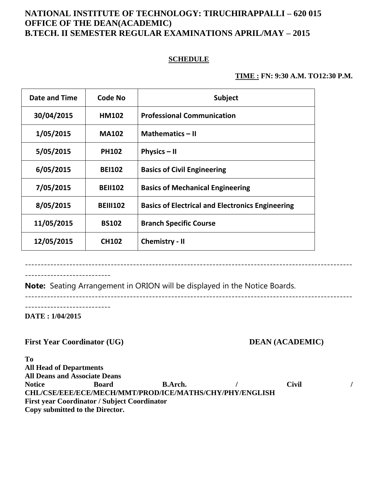# **NATIONAL INSTITUTE OF TECHNOLOGY: TIRUCHIRAPPALLI – 620 015 OFFICE OF THE DEAN(ACADEMIC) B.TECH. II SEMESTER REGULAR EXAMINATIONS APRIL/MAY – 2015**

## **SCHEDULE**

### **TIME : FN: 9:30 A.M. TO12:30 P.M.**

| Date and Time | Code No         | <b>Subject</b>                                          |
|---------------|-----------------|---------------------------------------------------------|
| 30/04/2015    | <b>HM102</b>    | <b>Professional Communication</b>                       |
| 1/05/2015     | <b>MA102</b>    | <b>Mathematics - II</b>                                 |
| 5/05/2015     | <b>PH102</b>    | Physics $-$ II                                          |
| 6/05/2015     | <b>BEI102</b>   | <b>Basics of Civil Engineering</b>                      |
| 7/05/2015     | <b>BEII102</b>  | <b>Basics of Mechanical Engineering</b>                 |
| 8/05/2015     | <b>BEIII102</b> | <b>Basics of Electrical and Electronics Engineering</b> |
| 11/05/2015    | <b>BS102</b>    | <b>Branch Specific Course</b>                           |
| 12/05/2015    | <b>CH102</b>    | <b>Chemistry - II</b>                                   |

---------------------------

**Note:** Seating Arrangement in ORION will be displayed in the Notice Boards.

-------------------------------------------------------------------------------------------------------

-------------------------------------------------------------------------------------------------------

---------------------------

**DATE : 1/04/2015**

First Year Coordinator (UG) DEAN (ACADEMIC)

**To All Head of Departments All Deans and Associate Deans** Notice Board B.Arch. / Civil / **CHL/CSE/EEE/ECE/MECH/MMT/PROD/ICE/MATHS/CHY/PHY/ENGLISH First year Coordinator / Subject Coordinator Copy submitted to the Director.**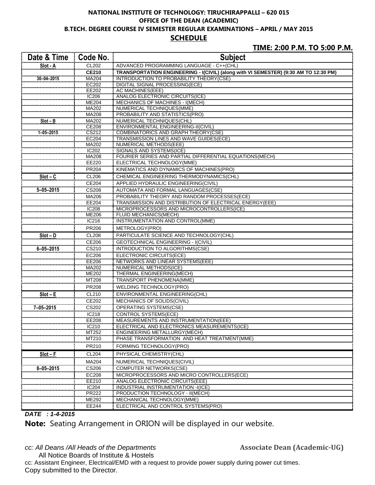#### **NATIONAL INSTITUTE OF TECHNOLOGY: TIRUCHIRAPPALLI – 620 015 OFFICE OF THE DEAN (ACADEMIC) B.TECH. DEGREE COURSE IV SEMESTER REGULAR EXAMINATIONS – APRIL / MAY 2015 SCHEDULE**

### **TIME: 2:00 P.M. TO 5:00 P.M.**

| Date & Time      | Code No.       | <b>Subject</b>                                                                       |
|------------------|----------------|--------------------------------------------------------------------------------------|
| Slot - A         | CL202          | ADVANCED PROGRAMMING LANGUAGE - C++(CHL)                                             |
|                  | <b>CE210</b>   | TRANSPORTATION ENGINEERING - I(CIVIL) (along with VI SEMESTER) (9:30 AM TO 12:30 PM) |
| $30 - 04 - 2015$ | MA204          | INTRODUCTION TO PROBABILITY THEORY(CSE)                                              |
|                  | <b>EC202</b>   | DIGITAL SIGNAL PROCESSING(ECE)                                                       |
|                  | EE202          | AC MACHINES(EEE)                                                                     |
|                  | IC206          | ANALOG ELECTRONIC CIRCUITS(ICE)                                                      |
|                  | <b>ME204</b>   | MECHANICS OF MACHINES - I(MECH)                                                      |
|                  | MA202<br>MA208 | NUMERICAL TECHNIQUES(MME)<br>PROBABILITY AND STATISTICS(PRO)                         |
| $Slot - B$       | MA202          | NUMERICAL TECHNIQUES(CHL)                                                            |
|                  | <b>CE208</b>   | ENVIRONMENTAL ENGINEERING-II(CIVIL)                                                  |
| $1 - 05 - 2015$  | CS212          | <b>COMBINATORICS AND GRAPH THEORY(CSE)</b>                                           |
|                  | EC204          | TRANSMISSION LINES AND WAVE GUIDES(ECE)                                              |
|                  | MA202          | NUMERICAL METHODS(EEE)                                                               |
|                  | <b>IC202</b>   | SIGNALS AND SYSTEMS(ICE)                                                             |
|                  | MA208          | FOURIER SERIES AND PARTIAL DIFFERENTIAL EQUATIONS (MECH)                             |
|                  | EE220          | ELECTRICAL TECHNOLOGY(MME)                                                           |
|                  | PR204          | KINEMATICS AND DYNAMICS OF MACHINES(PRO)                                             |
| $Slot - C$       | <b>CL206</b>   | CHEMICAL ENGINEERING THERMODYNAMICS(CHL)                                             |
|                  | CE204          | APPLIED HYDRAULIC ENGINEERING(CIVIL)                                                 |
| $5 - 05 - 2015$  | <b>CS208</b>   | AUTOMATA AND FORMAL LANGUAGES(CSE)                                                   |
|                  | MA206          | PROBABILITY THEORY AND RANDOM PROCESSES(ECE)                                         |
|                  | <b>EE204</b>   | TRANSMISSION AND DISTRIBUTION OF ELECTRICAL ENERGY(EEE)                              |
|                  | <b>IC208</b>   | MICROPROCESSORS AND MICROCONTROLLERS(ICE)                                            |
|                  | <b>ME206</b>   | FLUID MECHANICS(MECH)                                                                |
|                  | IC216          | INSTRUMENTATION AND CONTROL(MME)                                                     |
|                  | PR206          | METROLOGY(PRO)                                                                       |
| $Slot - D$       | <b>CL208</b>   | PARTICULATE SCIENCE AND TECHNOLOGY(CHL)                                              |
|                  | CE206          | <b>GEOTECHNICAL ENGINEERING - I(CIVIL)</b>                                           |
| $6 - 05 - 2015$  | CS210          | INTRODUCTION TO ALGORITHMS(CSE)                                                      |
|                  | EC206          | ELECTRONIC CIRCUITS(ECE)                                                             |
|                  | <b>EE206</b>   | NETWORKS AND LINEAR SYSTEMS(EEE)                                                     |
|                  | MA202          | NUMERICAL METHODS(ICE)                                                               |
|                  | ME202          | THERMAL ENGINEERING(MECH)                                                            |
|                  | MT208          | TRANSPORT PHENOMENA(MME)                                                             |
|                  | PR208          | WELDING TECHNOLOGY(PRO)                                                              |
| $Slot - E$       | CL210          | ENVIRONMENTAL ENGINEERING(CHL)                                                       |
|                  | CE202          | MECHANICS OF SOLIDS(CIVIL)                                                           |
| 7-05-2015        | CS202          | OPERATING SYSTEMS(CSE)                                                               |
|                  | IC218          | <b>CONTROL SYSTEMS(ECE)</b>                                                          |
|                  | EE208          | MEASUREMENTS AND INSTRUMENTATION(EEE)                                                |
|                  | IC210          | ELECTRICAL AND ELECTRONICS MEASUREMENTS(ICE)                                         |
|                  | MT252          | ENGINEERING METALLURGY(MECH)                                                         |
|                  | MT210          | PHASE TRANSFORMATION AND HEAT TREATMENT(MME)                                         |
|                  | PR210          | FORMING TECHNOLOGY(PRO)                                                              |
| $Slot - F$       | <b>CL204</b>   | PHYSICAL CHEMISTRY(CHL)                                                              |
|                  | MA204          | NUMERICAL TECHNIQUES(CIVIL)                                                          |
| $8 - 05 - 2015$  | CS206          | <b>COMPUTER NETWORKS(CSE)</b>                                                        |
|                  | EC208          | MICROPROCESSORS AND MICRO CONTROLLERS(ECE)                                           |
|                  | EE210          | <b>ANALOG ELECTRONIC CIRCUITS(EEE)</b>                                               |
|                  | IC204          | INDUSTRIAL INSTRUMENTATION -I(ICE)                                                   |
|                  | <b>PR222</b>   | PRODUCTION TECHNOLOGY - II(MECH)                                                     |
|                  | ME292          | MECHANICAL TECHNOLOGY(MME)                                                           |
|                  | EE244          | ELECTRICAL AND CONTROL SYSTEMS(PRO)                                                  |

#### *DATE : 1-4-2015*

**Note:** Seating Arrangement in ORION will be displayed in our website.

*cc: All Deans /All Heads of the Departments* **Associate Dean (Academic-UG)** 

All Notice Boards of Institute & Hostels cc: Assistant Engineer, Electrical/EMD with a request to provide power supply during power cut times. Copy submitted to the Director.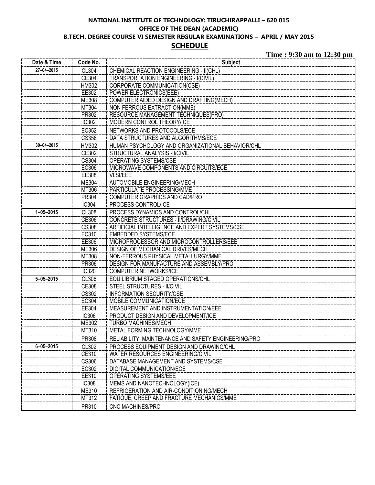## **NATIONAL INSTITUTE OF TECHNOLOGY: TIRUCHIRAPPALLI – 620 015 OFFICE OF THE DEAN (ACADEMIC) B.TECH. DEGREE COURSE VI SEMESTER REGULAR EXAMINATIONS – APRIL / MAY 2015 SCHEDULE**

**Time : 9:30 am to 12:30 pm**

| Date & Time      | Code No.     | <b>Subject</b>                                      |
|------------------|--------------|-----------------------------------------------------|
| 27-04-2015       | CL304        | CHEMICAL REACTION ENGINEERING - II(CHL)             |
|                  | CE304        | TRANSPORTATION ENGINEERING - I(CIVIL)               |
|                  | HM302        | CORPORATE COMMUNICATION(CSE)                        |
|                  | EE302        | <b>POWER ELECTRONICS(EEE)</b>                       |
|                  | ME308        | <b>COMPUTER AIDED DESIGN AND DRAFTING(MECH)</b>     |
|                  | MT304        | <b>NON FERROUS EXTRACTION(MME)</b>                  |
|                  | PR302        | <b>RESOURCE MANAGEMENT TECHNIQUES(PRO)</b>          |
|                  | IC302        | MODERN CONTROL THEORY/ICE                           |
|                  | EC352        | NETWORKS AND PROTOCOLS/ECE                          |
|                  | CS356        | DATA STRUCTURES AND ALGORITHMS/ECE                  |
| $30 - 04 - 2015$ | HM302        | HUMAN PSYCHOLOGY AND ORGANIZATIONAL BEHAVIOR/CHL    |
|                  | CE302        | STRUCTURAL ANALYSIS -II/CIVIL                       |
|                  | <b>CS304</b> | OPERATING SYSTEMS/CSE                               |
|                  | EC306        | MICROWAVE COMPONENTS AND CIRCUITS/ECE               |
|                  | EE308        | <b>VLSI/EEE</b>                                     |
|                  | ME304        | AUTOMOBILE ENGINEERING/MECH                         |
|                  | MT306        | PARTICULATE PROCESSING/MME                          |
|                  | PR304        | COMPUTER GRAPHICS AND CAD/PRO                       |
|                  | IC304        | PROCESS CONTROL/ICE                                 |
| $1 - 05 - 2015$  | <b>CL308</b> | PROCESS DYNAMICS AND CONTROL/CHL                    |
|                  | CE306        | CONCRETE STRUCTURES - II/DRAWING/CIVIL              |
|                  | <b>CS308</b> | ARTIFICIAL INTELLIGENCE AND EXPERT SYSTEMS/CSE      |
|                  | EC310        | <b>EMBEDDED SYSTEMS/ECE</b>                         |
|                  | EE306        | MICROPROCESSOR AND MICROCONTROLLERS/EEE             |
|                  | ME306        | DESIGN OF MECHANICAL DRIVES/MECH                    |
|                  | MT308        | NON-FERROUS PHYSICAL METALLURGY/MME                 |
|                  | PR306        | DESIGN FOR MANUFACTURE AND ASSEMBLY/PRO             |
|                  | IC320        | <b>COMPUTER NETWORKS/ICE</b>                        |
| $5 - 05 - 2015$  | <b>CL306</b> | EQUILIBRIUM STAGED OPERATIONS/CHL                   |
|                  | CE308        | STEEL STRUCTURES - II/CIVIL                         |
|                  | CS302        | <b>INFORMATION SECURITY/CSE</b>                     |
|                  | EC304        | MOBILE COMMUNICATION/ECE                            |
|                  | EE304        | MEASUREMENT AND INSTRUMENTATION/EEE                 |
|                  | <b>IC306</b> | PRODUCT DESIGN AND DEVELOPMENT/ICE                  |
|                  | ME302        | <b>TURBO MACHINES/MECH</b>                          |
|                  | MT310        | METAL FORMING TECHNOLOGY/MME                        |
|                  | PR308        | RELIABILITY, MAINTENANCE AND SAFETY ENGINEERING/PRO |
| $6 - 05 - 2015$  | CL302        | PROCESS EQUIPMENT DESIGN AND DRAWING/CHL            |
|                  | CE310        | WATER RESOURCES ENGINEERING/CIVIL                   |
|                  | CS306        | DATABASE MANAGEMENT AND SYSTEMS/CSE                 |
|                  | EC302        | DIGITAL COMMUNICATION/ECE                           |
|                  | EE310        | OPERATING SYSTEMS/EEE                               |
|                  | <b>IC308</b> | MEMS AND NANOTECHNOLOGY(ICE)                        |
|                  | ME310        | REFRIGERATION AND AIR-CONDITIONING/MECH             |
|                  | MT312        | FATIQUE, CREEP AND FRACTURE MECHANICS/MME           |
|                  | PR310        | CNC MACHINES/PRO                                    |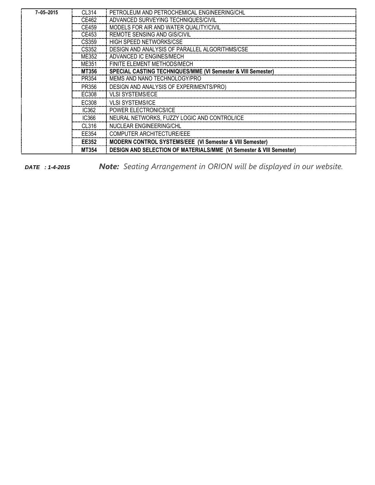| $7 - 05 - 2015$ | CL314 | PETROLEUM AND PETROCHEMICAL ENGINEERING/CHL                                    |
|-----------------|-------|--------------------------------------------------------------------------------|
|                 | CE462 | ADVANCED SURVEYING TECHNIQUES/CIVIL                                            |
|                 | CE459 | MODELS FOR AIR AND WATER QUALITY/CIVIL                                         |
|                 | CE453 | <b>REMOTE SENSING AND GIS/CIVIL</b>                                            |
|                 | CS359 | HIGH SPEED NETWORKS/CSE                                                        |
|                 | CS352 | DESIGN AND ANALYSIS OF PARALLEL ALGORITHMS/CSE                                 |
|                 | MF352 | ADVANCED IC ENGINES/MECH                                                       |
|                 | ME351 | FINITE ELEMENT METHODS/MECH                                                    |
|                 | MT356 | SPECIAL CASTING TECHNIQUES/MME (VI Semester & VIII Semester)                   |
|                 | PR354 | MEMS AND NANO TECHNOLOGY/PRO                                                   |
|                 | PR356 | DESIGN AND ANALYSIS OF EXPERIMENTS/PRO)                                        |
|                 | EC308 | <b>VLSI SYSTEMS/ECE</b>                                                        |
|                 | EC308 | <b>VLSI SYSTEMS/ICE</b>                                                        |
|                 | IC362 | <b>POWER ELECTRONICS/ICE</b>                                                   |
|                 | IC366 | NEURAL NETWORKS, FUZZY LOGIC AND CONTROL/ICE                                   |
|                 | CL316 | NUCLEAR ENGINEERING/CHL                                                        |
|                 | FF354 | <b>COMPUTER ARCHITECTURE/EEE</b>                                               |
|                 | EE352 | <b>MODERN CONTROL SYSTEMS/EEE (VI Semester &amp; VIII Semester)</b>            |
|                 | MT354 | <b>DESIGN AND SELECTION OF MATERIALS/MME (VI Semester &amp; VIII Semester)</b> |

*DATE : 1-4-2015 Note: Seating Arrangement in ORION will be displayed in our website.*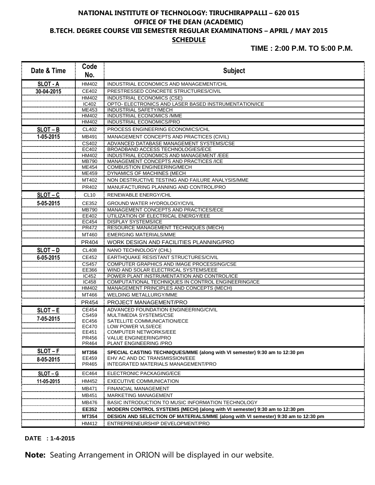# **NATIONAL INSTITUTE OF TECHNOLOGY: TIRUCHIRAPPALLI – 620 015 OFFICE OF THE DEAN (ACADEMIC) B.TECH. DEGREE COURSE VIII SEMESTER REGULAR EXAMINATIONS – APRIL / MAY 2015 SCHEDULE**

**TIME : 2:00 P.M. TO 5:00 P.M.**

| Date & Time     | Code<br>No.      | <b>Subject</b>                                                                     |
|-----------------|------------------|------------------------------------------------------------------------------------|
| <b>SLOT - A</b> | HM402            | INDUSTRIAL ECONOMICS AND MANAGEMENT/CHL                                            |
| 30-04-2015      | CE402            | PRESTRESSED CONCRETE STRUCTURES/CIVIL                                              |
|                 | <b>HM402</b>     | <b>INDUSTRIAL ECONOMICS (CSE)</b>                                                  |
|                 | IC402            | OPTO- ELECTRONICS AND LASER BASED INSTRUMENTATION/ICE                              |
|                 | ME453            | INDUSTRIAL SAFETY/MECH                                                             |
|                 | HM402            | INDUSTRIAL ECONOMICS / MME                                                         |
|                 | HM402            | INDUSTRIAL ECONOMICS/PRO                                                           |
| $SLOT-B$        | CL402            | PROCESS ENGINEERING ECONOMICS/CHL                                                  |
| 1-05-2015       | MB491            | MANAGEMENT CONCEPTS AND PRACTICES (CIVIL)                                          |
|                 | CS402            | ADVANCED DATABASE MANAGEMENT SYSTEMS/CSE                                           |
|                 | EC402            | <b>BROADBAND ACCESS TECHNOLOGIES/ECE</b>                                           |
|                 | HM402            | INDUSTRIAL ECONOMICS AND MANAGEMENT /EEE                                           |
|                 | MB790<br>ME454   | MANAGEMENT CONCEPTS AND PRACTICES /ICE<br>COMBUSTION ENGINEERING/MECH              |
|                 | ME459            | DYNAMICS OF MACHINES (MECH                                                         |
|                 | MT402            | NON DESTRUCTIVE TESTING AND FAILURE ANALYSIS/MME                                   |
|                 | PR402            | MANUFACTURING PLANNING AND CONTROL/PRO                                             |
| $SLOT-C$        | CL <sub>10</sub> | RENEWABLE ENERGY/CHL                                                               |
|                 |                  |                                                                                    |
| 5-05-2015       | CE352            | <b>GROUND WATER HYDROLOGY/CIVIL</b>                                                |
|                 | <b>MB790</b>     | MANAGEMENT CONCEPTS AND PRACTICES/ECE                                              |
|                 | EE402<br>EC454   | UTILIZATION OF ELECTRICAL ENERGY/EEE<br><b>DISPLAY SYSTEMS/ICE</b>                 |
|                 | PR472            | RESOURCE MANAGEMENT TECHNIQUES (MECH)                                              |
|                 | MT460            | <b>EMERGING MATERIALS/MME</b>                                                      |
|                 | PR404            | WORK DESIGN AND FACILITIES PLANNING/PRO                                            |
| $SLOT - D$      | <b>CL408</b>     | NANO TECHNOLOGY (CHL)                                                              |
| 6-05-2015       | CE452            | EARTHQUAKE RESISTANT STRUCTURES/CIVIL                                              |
|                 | CS457            | COMPUTER GRAPHICS AND IMAGE PROCESSING/CSE                                         |
|                 | EE366            | WIND AND SOLAR ELECTRICAL SYSTEMS/EEE                                              |
|                 | IC452            | POWER PLANT INSTRUMENTATION AND CONTROL/ICE                                        |
|                 | <b>IC458</b>     | COMPUTATIONAL TECHNIQUES IN CONTROL ENGINEERING/ICE                                |
|                 | HM402            | MANAGEMENT PRINCIPLES AND CONCEPTS (MECH)                                          |
|                 | MT466            | WELDING METALLURGY/MME                                                             |
|                 | PR454            | PROJECT MANAGEMENT/PRO                                                             |
| $SLOT-E$        | <b>CE454</b>     | ADVANCED FOUNDATION ENGINEERING/CIVIL                                              |
| 7-05-2015       | CS459            | MULTIMEDIA SYSTEMS/CSE                                                             |
|                 | EC456            | SATELLITE COMMUNICATION/ECE                                                        |
|                 | EC470<br>EE451   | LOW POWER VLSI/ECE<br><b>COMPUTER NETWORKS/EEE</b>                                 |
|                 | PR456            | <b>VALUE ENGINEERING/PRO</b>                                                       |
|                 | PR464            | PLANT ENGINEERING / PRO                                                            |
| $SLOT-F$        | MT356            | SPECIAL CASTING TECHNIQUES/MME (along with VI semester) 9:30 am to 12:30 pm        |
| 8-05-2015       | EE459            | EHV AC AND DC TRANSMISSION/EEE                                                     |
|                 | PR465            | INTEGRATED MATERIALS MANAGEMENT/PRO                                                |
| $SLOT-G$        | EC464            | ELECTRONIC PACKAGING/ECE                                                           |
| 11-05-2015      | HM452            | EXECUTIVE COMMUNICATION                                                            |
|                 | MB471            | FINANCIAL MANAGEMENT                                                               |
|                 | MB451            | MARKETING MANAGEMENT                                                               |
|                 | MB476            | BASIC INTRODUCTION TO MUSIC INFORMATION TECHNOLOGY                                 |
|                 | EE352            | MODERN CONTROL SYSTEMS (MECH) (along with VI semester) 9:30 am to 12:30 pm         |
|                 | MT354            | DESIGN AND SELECTION OF MATERIALS/MME (along with VI semester) 9:30 am to 12:30 pm |
|                 | HM412            | ENTREPRENEURSHIP DEVELOPMENT/PRO                                                   |

#### **DATE : 1-4-2015**

**Note:** Seating Arrangement in ORION will be displayed in our website.